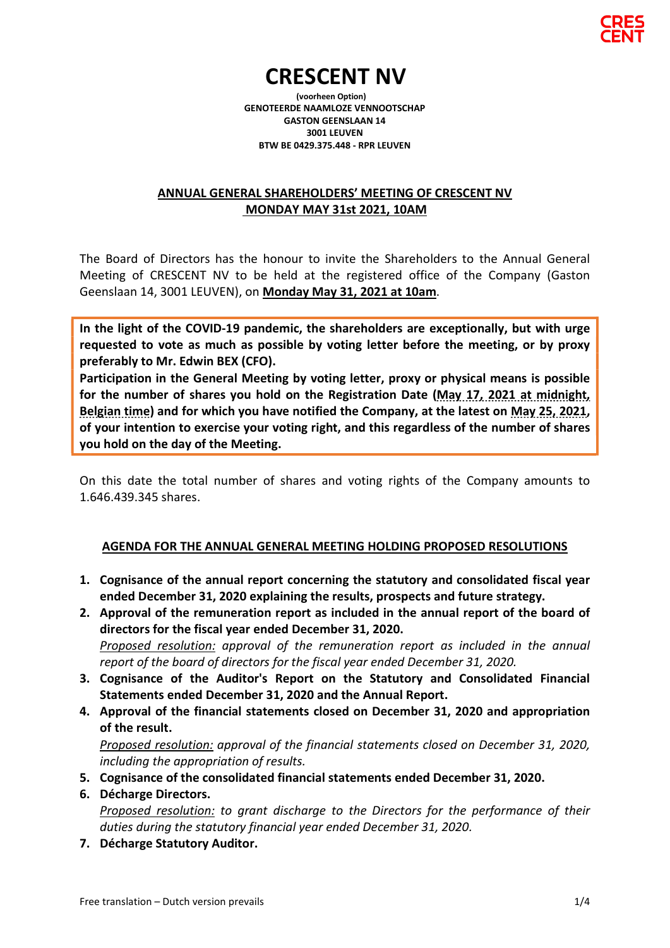

# CRESCENT NV

 (voorheen Option) GENOTEERDE NAAMLOZE VENNOOTSCHAP GASTON GEENSLAAN 14 3001 LEUVEN BTW BE 0429.375.448 - RPR LEUVEN

## ANNUAL GENERAL SHAREHOLDERS' MEETING OF CRESCENT NV MONDAY MAY 31st 2021, 10AM

The Board of Directors has the honour to invite the Shareholders to the Annual General Meeting of CRESCENT NV to be held at the registered office of the Company (Gaston Geenslaan 14, 3001 LEUVEN), on Monday May 31, 2021 at 10am.

In the light of the COVID-19 pandemic, the shareholders are exceptionally, but with urge requested to vote as much as possible by voting letter before the meeting, or by proxy preferably to Mr. Edwin BEX (CFO).

Participation in the General Meeting by voting letter, proxy or physical means is possible for the number of shares you hold on the Registration Date (May 17, 2021 at midnight, Belgian time) and for which you have notified the Company, at the latest on May 25, 2021, of your intention to exercise your voting right, and this regardless of the number of shares you hold on the day of the Meeting.

On this date the total number of shares and voting rights of the Company amounts to 1.646.439.345 shares.

## AGENDA FOR THE ANNUAL GENERAL MEETING HOLDING PROPOSED RESOLUTIONS

- 1. Cognisance of the annual report concerning the statutory and consolidated fiscal year ended December 31, 2020 explaining the results, prospects and future strategy.
- 2. Approval of the remuneration report as included in the annual report of the board of directors for the fiscal year ended December 31, 2020. Proposed resolution: approval of the remuneration report as included in the annual report of the board of directors for the fiscal year ended December 31, 2020.
- 3. Cognisance of the Auditor's Report on the Statutory and Consolidated Financial Statements ended December 31, 2020 and the Annual Report.
- 4. Approval of the financial statements closed on December 31, 2020 and appropriation of the result.

Proposed resolution: approval of the financial statements closed on December 31, 2020, including the appropriation of results.

- 5. Cognisance of the consolidated financial statements ended December 31, 2020.
- 6. Décharge Directors. Proposed resolution: to grant discharge to the Directors for the performance of their duties during the statutory financial year ended December 31, 2020.
- 7. Décharge Statutory Auditor.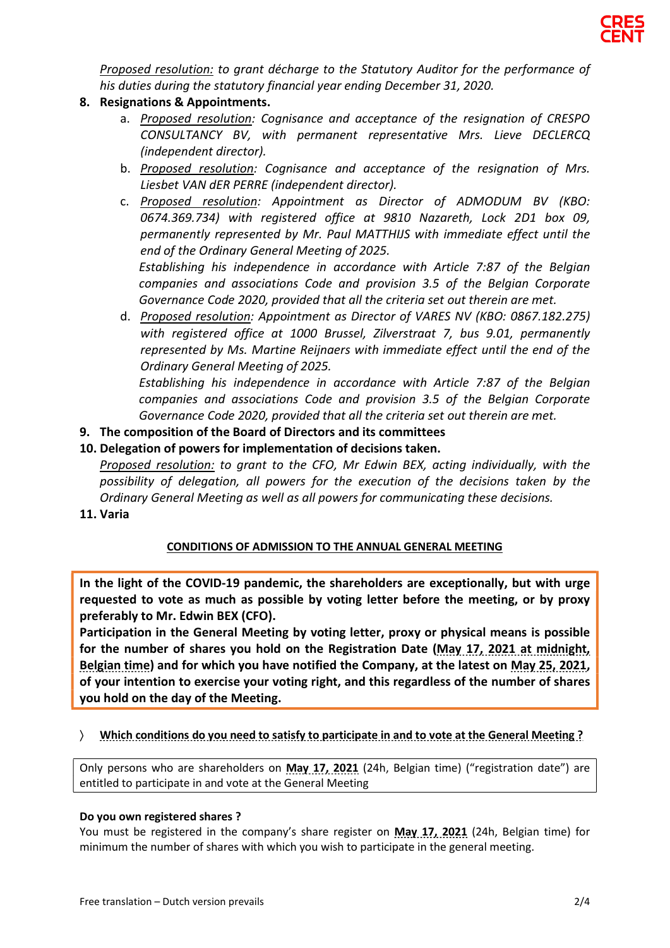

Proposed resolution: to grant décharge to the Statutory Auditor for the performance of his duties during the statutory financial year ending December 31, 2020.

- 8. Resignations & Appointments.
	- a. Proposed resolution: Cognisance and acceptance of the resignation of CRESPO CONSULTANCY BV, with permanent representative Mrs. Lieve DECLERCQ (independent director).
	- b. Proposed resolution: Cognisance and acceptance of the resignation of Mrs. Liesbet VAN dER PERRE (independent director).
	- c. Proposed resolution: Appointment as Director of ADMODUM BV (KBO: 0674.369.734) with registered office at 9810 Nazareth, Lock 2D1 box 09, permanently represented by Mr. Paul MATTHIJS with immediate effect until the end of the Ordinary General Meeting of 2025.

Establishing his independence in accordance with Article 7:87 of the Belgian companies and associations Code and provision 3.5 of the Belgian Corporate Governance Code 2020, provided that all the criteria set out therein are met.

d. Proposed resolution: Appointment as Director of VARES NV (KBO: 0867.182.275) with registered office at 1000 Brussel, Zilverstraat 7, bus 9.01, permanently represented by Ms. Martine Reijnaers with immediate effect until the end of the Ordinary General Meeting of 2025.

Establishing his independence in accordance with Article 7:87 of the Belgian companies and associations Code and provision 3.5 of the Belgian Corporate Governance Code 2020, provided that all the criteria set out therein are met.

9. The composition of the Board of Directors and its committees

### 10. Delegation of powers for implementation of decisions taken.

Proposed resolution: to grant to the CFO, Mr Edwin BEX, acting individually, with the possibility of delegation, all powers for the execution of the decisions taken by the Ordinary General Meeting as well as all powers for communicating these decisions.

11. Varia

#### CONDITIONS OF ADMISSION TO THE ANNUAL GENERAL MEETING

In the light of the COVID-19 pandemic, the shareholders are exceptionally, but with urge requested to vote as much as possible by voting letter before the meeting, or by proxy preferably to Mr. Edwin BEX (CFO).

Participation in the General Meeting by voting letter, proxy or physical means is possible for the number of shares you hold on the Registration Date (May 17, 2021 at midnight, Belgian time) and for which you have notified the Company, at the latest on May 25, 2021, of your intention to exercise your voting right, and this regardless of the number of shares you hold on the day of the Meeting.

Which conditions do you need to satisfy to participate in and to vote at the General Meeting ?

Only persons who are shareholders on May 17, 2021 (24h, Belgian time) ("registration date") are entitled to participate in and vote at the General Meeting

#### Do you own registered shares ?

You must be registered in the company's share register on May 17, 2021 (24h, Belgian time) for minimum the number of shares with which you wish to participate in the general meeting.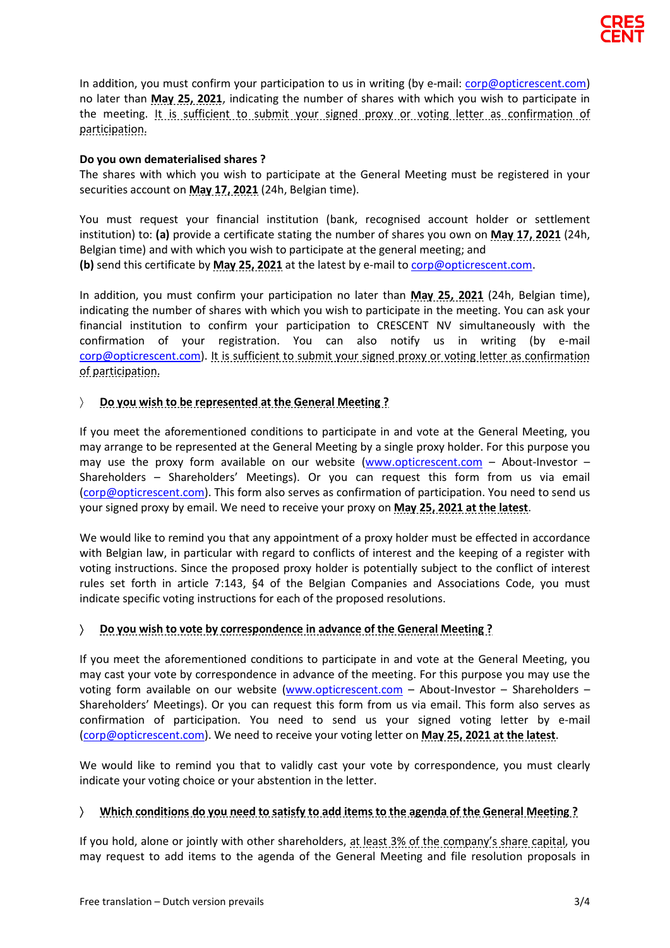

In addition, you must confirm your participation to us in writing (by e-mail: corp@opticrescent.com) no later than May 25, 2021, indicating the number of shares with which you wish to participate in the meeting. It is sufficient to submit your signed proxy or voting letter as confirmation of participation.

#### Do you own dematerialised shares ?

The shares with which you wish to participate at the General Meeting must be registered in your securities account on May 17, 2021 (24h, Belgian time).

You must request your financial institution (bank, recognised account holder or settlement institution) to: (a) provide a certificate stating the number of shares you own on May 17, 2021 (24h, Belgian time) and with which you wish to participate at the general meeting; and (b) send this certificate by May 25, 2021 at the latest by e-mail to corp@opticrescent.com.

In addition, you must confirm your participation no later than May 25, 2021 (24h, Belgian time), indicating the number of shares with which you wish to participate in the meeting. You can ask your financial institution to confirm your participation to CRESCENT NV simultaneously with the confirmation of your registration. You can also notify us in writing (by e-mail corp@opticrescent.com). It is sufficient to submit your signed proxy or voting letter as confirmation of participation.

#### $\angle$  Do you wish to be represented at the General Meeting ?

If you meet the aforementioned conditions to participate in and vote at the General Meeting, you may arrange to be represented at the General Meeting by a single proxy holder. For this purpose you may use the proxy form available on our website (www.opticrescent.com  $-$  About-Investor  $-$ Shareholders – Shareholders' Meetings). Or you can request this form from us via email (corp@opticrescent.com). This form also serves as confirmation of participation. You need to send us your signed proxy by email. We need to receive your proxy on May 25, 2021 at the latest.

We would like to remind you that any appointment of a proxy holder must be effected in accordance with Belgian law, in particular with regard to conflicts of interest and the keeping of a register with voting instructions. Since the proposed proxy holder is potentially subject to the conflict of interest rules set forth in article 7:143, §4 of the Belgian Companies and Associations Code, you must indicate specific voting instructions for each of the proposed resolutions.

#### Do you wish to vote by correspondence in advance of the General Meeting ?

If you meet the aforementioned conditions to participate in and vote at the General Meeting, you may cast your vote by correspondence in advance of the meeting. For this purpose you may use the voting form available on our website (www.opticrescent.com – About-Investor – Shareholders – Shareholders' Meetings). Or you can request this form from us via email. This form also serves as confirmation of participation. You need to send us your signed voting letter by e-mail (corp@opticrescent.com). We need to receive your voting letter on May 25, 2021 at the latest.

We would like to remind you that to validly cast your vote by correspondence, you must clearly indicate your voting choice or your abstention in the letter.

#### Which conditions do you need to satisfy to add items to the agenda of the General Meeting ?

If you hold, alone or jointly with other shareholders, at least 3% of the company's share capital, you may request to add items to the agenda of the General Meeting and file resolution proposals in